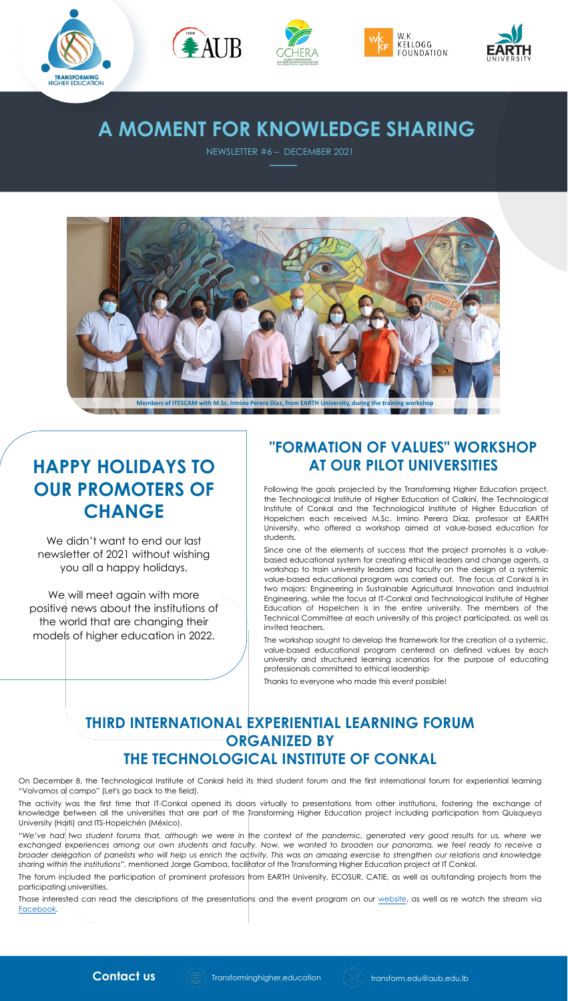



## **A MOMENT FOR KNOWLEDGE SHARING**

NEWSLETTER #6 – DECEMBER 2021

EAUB



Following the goals projected by the Transforming Higher Education project, the Technological Institute of Higher Education of Calkiní, the Technological Institute of Conkal and the Technological Institute of Higher Education of Hopelchen each received M.Sc. Irmino Perera Díaz, professor at EARTH University, who offered a workshop aimed at value-based education for students.

Since one of the elements of success that the project promotes is a valuebased educational system for creating ethical leaders and change agents, a workshop to train university leaders and faculty on the design of a systemic value-based educational program was carried out. The focus at Conkal is in two majors: Engineering in Sustainable Agricultural Innovation and Industrial Engineering, while the focus at IT-Conkal and Technological Institute of Higher Education of Hopelchen is in the entire university. The members of the Technical Committee at each university of this project participated, as well as invited teachers.

The workshop sought to develop the framework for the creation of a systemic, value-based educational program centered on defined values by each university and structured learning scenarios for the purpose of educating professionals committed to ethical leadership

"We've had two student forums that, although we were in the context of the pandemic, generated very good results for us, where we exchanged experiences among our own students and faculty. Now, we wanted to broaden our panorama, we feel ready to receive a broader delegation of panelists who will help us enrich the activity. This was an amazing exercise to strengthen our relations and knowledge *sharing within the institutions",* mentioned Jorge Gamboa, facilitator of the Transforming Higher Education project at IT Conkal.

#### **"FORMATION OF VALUES" WORKSHOP AT OUR PILOT UNIVERSITIES**

We didn't want to end our last newsletter of 2021 without wishing you all a happy holidays.

### **THIRD INTERNATIONAL EXPERIENTIAL LEARNING FORUM ORGANIZED BY THE TECHNOLOGICAL INSTITUTE OF CONKAL**

On December 8, the Technological Institute of Conkal held its third student forum and the first international forum for experiential learning "Volvamos al campo" (Let's go back to the field).

The activity was the first time that IT-Conkal opened its doors virtually to presentations from other institutions, fostering the exchange of knowledge between all the universities that are part of the Transforming Higher Education project including participation from Quisqueya University (Haiti) and ITS-Hopelchén (México).

The forum included the participation of prominent professors from EARTH University, ECOSUR, CATIE, as well as outstanding projects from the participating universities.

Those interested can read the descriptions of the presentations and the event program on our [website,](https://transforminghigher.education/international-forum-for-the-exchange-of-experiences-among-students-of-the-project-transforming-higher-education-volvamos-al-campo/) as well as re watch the stream via [Facebook](https://www.facebook.com/TecNMCampusConkal/videos/488890249151829).







We will meet again with more positive news about the institutions of the world that are changing their models of higher education in 2022.

## **HAPPY HOLIDAYS TO OUR PROMOTERS OF CHANGE**